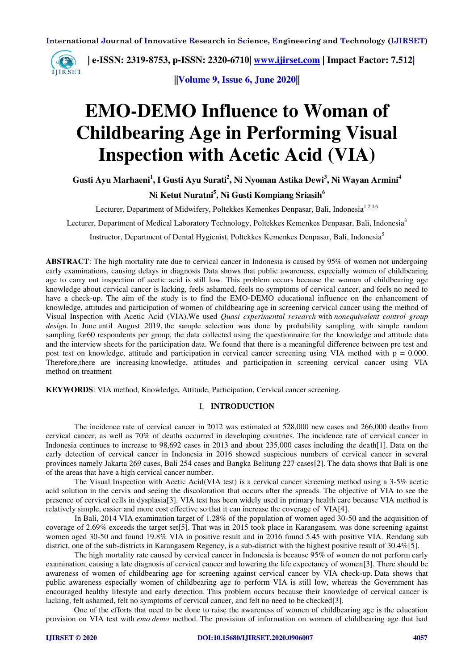

 **| e-ISSN: 2319-8753, p-ISSN: 2320-6710| [www.ijirset.com](http://www.ijirset.com/) | Impact Factor: 7.512|**

**||Volume 9, Issue 6, June 2020||** 

# **EMO-DEMO Influence to Woman of Childbearing Age in Performing Visual Inspection with Acetic Acid (VIA)**

**Gusti Ayu Marhaeni<sup>1</sup> , I Gusti Ayu Surati<sup>2</sup> , Ni Nyoman Astika Dewi<sup>3</sup> , Ni Wayan Armini<sup>4</sup>**

## **Ni Ketut Nuratni<sup>5</sup> , Ni Gusti Kompiang Sriasih<sup>6</sup>**

Lecturer, Department of Midwifery, Poltekkes Kemenkes Denpasar, Bali, Indonesia<sup>1,2,4,6</sup>

Lecturer, Department of Medical Laboratory Technology, Poltekkes Kemenkes Denpasar, Bali, Indonesia<sup>3</sup>

Instructor, Department of Dental Hygienist, Poltekkes Kemenkes Denpasar, Bali, Indonesia<sup>5</sup>

**ABSTRACT**: The high mortality rate due to cervical cancer in Indonesia is caused by 95% of women not undergoing early examinations, causing delays in diagnosis Data shows that public awareness, especially women of childbearing age to carry out inspection of acetic acid is still low. This problem occurs because the woman of childbearing age knowledge about cervical cancer is lacking, feels ashamed, feels no symptoms of cervical cancer, and feels no need to have a check-up. The aim of the study is to find the EMO-DEMO educational influence on the enhancement of knowledge, attitudes and participation of women of childbearing age in screening cervical cancer using the method of Visual Inspection with Acetic Acid (VIA).We used *Quasi experimental research* with *nonequivalent control group design.* In June until August 2019, the sample selection was done by probability sampling with simple random sampling for60 respondents per group, the data collected using the questionnaire for the knowledge and attitude data and the interview sheets for the participation data. We found that there is a meaningful difference between pre test and post test on knowledge, attitude and participation in cervical cancer screening using VIA method with  $p = 0.000$ . Therefore,there are increasing knowledge, attitudes and participation in screening cervical cancer using VIA method on treatment

**KEYWORDS**: VIA method, Knowledge, Attitude, Participation, Cervical cancer screening.

#### I. **INTRODUCTION**

The incidence rate of cervical cancer in 2012 was estimated at 528,000 new cases and 266,000 deaths from cervical cancer, as well as 70% of deaths occurred in developing countries. The incidence rate of cervical cancer in Indonesia continues to increase to 98,692 cases in 2013 and about 235,000 cases including the death[1]. Data on the early detection of cervical cancer in Indonesia in 2016 showed suspicious numbers of cervical cancer in several provinces namely Jakarta 269 cases, Bali 254 cases and Bangka Belitung 227 cases[2]. The data shows that Bali is one of the areas that have a high cervical cancer number.

The Visual Inspection with Acetic Acid(VIA test) is a cervical cancer screening method using a 3-5% acetic acid solution in the cervix and seeing the discoloration that occurs after the spreads. The objective of VIA to see the presence of cervical cells in dysplasia[3]. VIA test has been widely used in primary health care because VIA method is relatively simple, easier and more cost effective so that it can increase the coverage of VIA[4].

In Bali, 2014 VIA examination target of 1.28% of the population of women aged 30-50 and the acquisition of coverage of 2.69% exceeds the target set[5]. That was in 2015 took place in Karangasem, was done screening against women aged 30-50 and found 19.8% VIA in positive result and in 2016 found 5.45 with positive VIA. Rendang sub district, one of the sub-districts in Karangasem Regency, is a sub-district with the highest positive result of 30.4%[5].

The high mortality rate caused by cervical cancer in Indonesia is because 95% of women do not perform early examination, causing a late diagnosis of cervical cancer and lowering the life expectancy of women[3]. There should be awareness of women of childbearing age for screening against cervical cancer by VIA check-up. Data shows that public awareness especially women of childbearing age to perform VIA is still low, whereas the Government has encouraged healthy lifestyle and early detection. This problem occurs because their knowledge of cervical cancer is lacking, felt ashamed, felt no symptoms of cervical cancer, and felt no need to be checked[3].

One of the efforts that need to be done to raise the awareness of women of childbearing age is the education provision on VIA test with *emo demo* method. The provision of information on women of childbearing age that had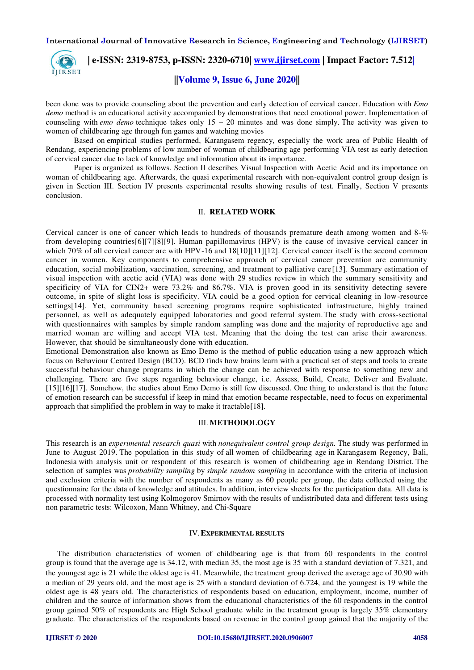

been done was to provide counseling about the prevention and early detection of cervical cancer. Education with *Emo demo* method is an educational activity accompanied by demonstrations that need emotional power. Implementation of counseling with *emo demo* technique takes only 15 – 20 minutes and was done simply. The activity was given to women of childbearing age through fun games and watching movies

Based on empirical studies performed, Karangasem regency, especially the work area of Public Health of Rendang, experiencing problems of low number of woman of childbearing age performing VIA test as early detection of cervical cancer due to lack of knowledge and information about its importance.

Paper is organized as follows. Section II describes Visual Inspection with Acetic Acid and its importance on woman of childbearing age. Afterwards, the quasi experimental research with non-equivalent control group design is given in Section III. Section IV presents experimental results showing results of test. Finally, Section V presents conclusion.

#### II. **RELATED WORK**

Cervical cancer is one of cancer which leads to hundreds of thousands premature death among women and 8-% from developing countries[6][7][8][9]. Human papillomavirus (HPV) is the cause of invasive cervical cancer in which 70% of all cervical cancer are with HPV-16 and 18[10][11][12]. Cervical cancer itself is the second common cancer in women. Key components to comprehensive approach of cervical cancer prevention are community education, social mobilization, vaccination, screening, and treatment to palliative care [13]. Summary estimation of visual inspection with acetic acid (VIA) was done with 29 studies review in which the summary sensitivity and specificity of VIA for CIN2+ were 73.2% and 86.7%. VIA is proven good in its sensitivity detecting severe outcome, in spite of slight loss is specificity. VIA could be a good option for cervical cleaning in low-resource settings[14]. Yet, community based screening programs require sophisticated infrastructure, highly trained personnel, as well as adequately equipped laboratories and good referral system.The study with cross-sectional with questionnaires with samples by simple random sampling was done and the majority of reproductive age and married woman are willing and accept VIA test. Meaning that the doing the test can arise their awareness. However, that should be simultaneously done with education.

Emotional Demonstration also known as Emo Demo is the method of public education using a new approach which focus on Behaviour Centred Design (BCD). BCD finds how brains learn with a practical set of steps and tools to create successful behaviour change programs in which the change can be achieved with response to something new and challenging. There are five steps regarding behaviour change, i.e. Assess, Build, Create, Deliver and Evaluate. [15][16][17]. Somehow, the studies about Emo Demo is still few discussed. One thing to understand is that the future of emotion research can be successful if keep in mind that emotion became respectable, need to focus on experimental approach that simplified the problem in way to make it tractable[18].

#### III. **METHODOLOGY**

This research is an *experimental research quasi* with *nonequivalent control group design.* The study was performed in June to August 2019. The population in this study of all women of childbearing age in Karangasem Regency, Bali, Indonesia with analysis unit or respondent of this research is women of childbearing age in Rendang District. The selection of samples was *probability sampling* by *simple random sampling* in accordance with the criteria of inclusion and exclusion criteria with the number of respondents as many as 60 people per group, the data collected using the questionnaire for the data of knowledge and attitudes. In addition, interview sheets for the participation data. All data is processed with normality test using Kolmogorov Smirnov with the results of undistributed data and different tests using non parametric tests: Wilcoxon, Mann Whitney, and Chi-Square

#### IV.**EXPERIMENTAL RESULTS**

The distribution characteristics of women of childbearing age is that from 60 respondents in the control group is found that the average age is 34.12, with median 35, the most age is 35 with a standard deviation of 7.321, and the youngest age is 21 while the oldest age is 41. Meanwhile, the treatment group derived the average age of 30.90 with a median of 29 years old, and the most age is 25 with a standard deviation of 6.724, and the youngest is 19 while the oldest age is 48 years old. The characteristics of respondents based on education, employment, income, number of children and the source of information shows from the educational characteristics of the 60 respondents in the control group gained 50% of respondents are High School graduate while in the treatment group is largely 35% elementary graduate. The characteristics of the respondents based on revenue in the control group gained that the majority of the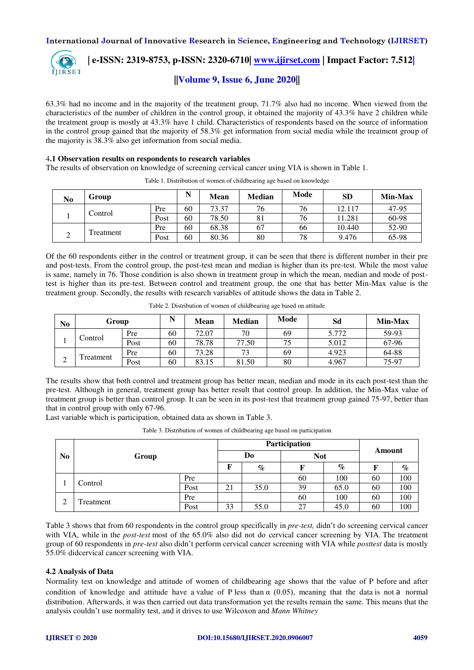

 **| e-ISSN: 2319-8753, p-ISSN: 2320-6710| [www.ijirset.com](http://www.ijirset.com/) | Impact Factor: 7.512|**

**||Volume 9, Issue 6, June 2020||** 

63.3% had no income and in the majority of the treatment group, 71.7% also had no income. When viewed from the characteristics of the number of children in the control group, it obtained the majority of 43.3% have 2 children while the treatment group is mostly at 43.3% have 1 child. Characteristics of respondents based on the source of information in the control group gained that the majority of 58.3% get information from social media while the treatment group of the majority is 38.3% also get information from social media.

#### 4**.1 Observation results on respondents to research variables**

The results of observation on knowledge of screening cervical cancer using VIA is shown in Table 1.

| No | Group     | N    | Mean | <b>Median</b> | Mode | <b>SD</b> | Min-Max |       |
|----|-----------|------|------|---------------|------|-----------|---------|-------|
|    | Control   | Pre  | 60   | 73.37         | 76   | 76        | 12.117  | 47-95 |
|    |           | Post | 60   | 78.50         | 81   | 76        | 11.281  | 60-98 |
|    | Treatment | Pre  | 60   | 68.38         | 67   | 66        | 10.440  | 52-90 |
| ∠  |           | Post | 60   | 80.36         | 80   | 78        | 9.476   | 65-98 |

Table 1. Distribution of women of childbearing age based on knowledge

Of the 60 respondents either in the control or treatment group, it can be seen that there is different number in their pre and post-tests. From the control group, the post-test mean and median is higher than its pre-test. While the most value is same, namely in 76. Those condition is also shown in treatment group in which the mean, median and mode of posttest is higher than its pre-test. Between control and treatment group, the one that has better Min-Max value is the treatment group. Secondly, the results with research variables of attitude shows the data in Table 2.

| No          | Group    |      | N  | Mean  | <b>Median</b> | Mode | Sd    | Min-Max |
|-------------|----------|------|----|-------|---------------|------|-------|---------|
|             | Control  | Pre  | 60 | 72.07 | 70            | 69   | 5.772 | 59-93   |
|             |          | Post | 60 | 78.78 | 77.50         | 75   | 5.012 | 67-96   |
|             | reatment | Pre  | 60 | 73.28 | 73            | 69   | 4.923 | 64-88   |
| $\sim$<br>↵ |          | Post | 60 | 83.15 | 81.50         | 80   | 4.967 | 75-97   |

The results show that both control and treatment group has better mean, median and mode in its each post-test than the pre-test. Although in general, treatment group has better result that control group. In addition, the Min-Max value of treatment group is better than control group. It can be seen in its post-test that treatment group gained 75-97, better than that in control group with only 67-96.

Last variable which is participation, obtained data as shown in Table 3.

Table 3. Distribution of women of childbearing age based on participation

|                |           |      | Participation | Amount |      |      |            |     |
|----------------|-----------|------|---------------|--------|------|------|------------|-----|
| N <sub>0</sub> | Group     |      |               |        |      | Do   | <b>Not</b> |     |
|                |           | F    | $\%$          |        | $\%$ | F    | $\%$       |     |
|                | Control   | Pre  |               |        | 60   | 100  | 60         | 100 |
|                |           | Post | 21            | 35.0   | 39   | 65.0 | 60         | 100 |
| $\bigcap$      | Treatment | Pre  |               |        | 60   | 100  | 60         | 100 |
|                |           | Post | 33            | 55.0   | 27   | 45.0 | 60         | 100 |

Table 3 shows that from 60 respondents in the control group specifically in *pre-test,* didn't do screening cervical cancer with VIA, while in the *post-test* most of the 65.0% also did not do cervical cancer screening by VIA. The treatment group of 60 respondents in *pre-test* also didn't perform cervical cancer screening with VIA while *posttest* data is mostly 55.0% didcervical cancer screening with VIA.

# **4.2 Analysis of Data**

Normality test on knowledge and attitude of women of childbearing age shows that the value of P before and after condition of knowledge and attitude have a value of P less than  $\alpha$  (0.05), meaning that the data is not a normal distribution. Afterwards, it was then carried out data transformation yet the results remain the same. This means that the analysis couldn't use normality test, and it drives to use Wilcoxon and *Mann Whitney*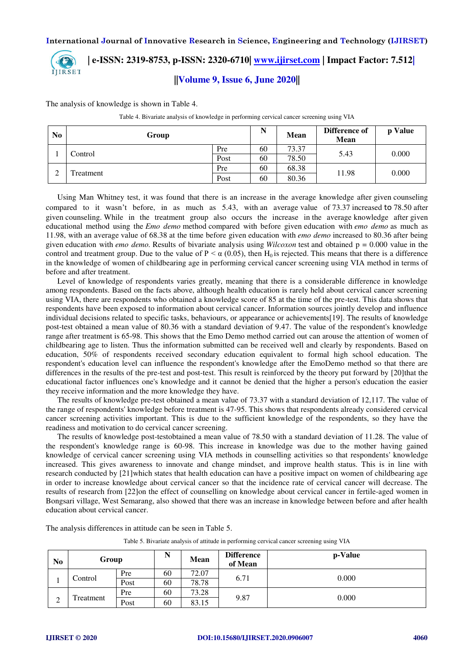

# **| e-ISSN: 2319-8753, p-ISSN: 2320-6710| [www.ijirset.com](http://www.ijirset.com/) | Impact Factor: 7.512| ||Volume 9, Issue 6, June 2020||**

The analysis of knowledge is shown in Table 4.

Table 4. Bivariate analysis of knowledge in performing cervical cancer screening using VIA

| N <sub>0</sub> | Group     |      | N  | <b>Mean</b> | Difference of<br><b>Mean</b> | p Value |
|----------------|-----------|------|----|-------------|------------------------------|---------|
|                | Control   | Pre  | 60 | 73.37       | 5.43                         | 0.000   |
|                |           | Post | 60 | 78.50       |                              |         |
| ◠              |           | Pre  | 60 | 68.38       | 11.98                        |         |
| ∸              | Freatment | Post | 60 | 80.36       |                              | 0.000   |

Using Man Whitney test, it was found that there is an increase in the average knowledge after given counseling compared to it wasn't before, in as much as 5.43, with an average value of 73.37 increased to 78.50 after given counseling. While in the treatment group also occurs the increase in the average knowledge after given educational method using the *Emo demo* method compared with before given education with *emo demo* as much as 11.98, with an average value of 68.38 at the time before given education with *emo demo* increased to 80.36 after being given education with *emo demo*. Results of bivariate analysis using *Wilcoxon* test and obtained  $p = 0.000$  value in the control and treatment group. Due to the value of  $P \le \alpha$  (0.05), then H<sub>0</sub> is rejected. This means that there is a difference in the knowledge of women of childbearing age in performing cervical cancer screening using VIA method in terms of before and after treatment.

Level of knowledge of respondents varies greatly, meaning that there is a considerable difference in knowledge among respondents. Based on the facts above, although health education is rarely held about cervical cancer screening using VIA, there are respondents who obtained a knowledge score of 85 at the time of the pre-test. This data shows that respondents have been exposed to information about cervical cancer. Information sources jointly develop and influence individual decisions related to specific tasks, behaviours, or appearance or achievements[19]. The results of knowledge post-test obtained a mean value of 80.36 with a standard deviation of 9.47. The value of the respondent's knowledge range after treatment is 65-98. This shows that the Emo Demo method carried out can arouse the attention of women of childbearing age to listen. Thus the information submitted can be received well and clearly by respondents. Based on education, 50% of respondents received secondary education equivalent to formal high school education. The respondent's education level can influence the respondent's knowledge after the EmoDemo method so that there are differences in the results of the pre-test and post-test. This result is reinforced by the theory put forward by [20]that the educational factor influences one's knowledge and it cannot be denied that the higher a person's education the easier they receive information and the more knowledge they have.

The results of knowledge pre-test obtained a mean value of 73.37 with a standard deviation of 12,117. The value of the range of respondents' knowledge before treatment is 47-95. This shows that respondents already considered cervical cancer screening activities important. This is due to the sufficient knowledge of the respondents, so they have the readiness and motivation to do cervical cancer screening.

The results of knowledge post-testobtained a mean value of 78.50 with a standard deviation of 11.28. The value of the respondent's knowledge range is 60-98. This increase in knowledge was due to the mother having gained knowledge of cervical cancer screening using VIA methods in counselling activities so that respondents' knowledge increased. This gives awareness to innovate and change mindset, and improve health status. This is in line with research conducted by [21]which states that health education can have a positive impact on women of childbearing age in order to increase knowledge about cervical cancer so that the incidence rate of cervical cancer will decrease. The results of research from [22]on the effect of counselling on knowledge about cervical cancer in fertile-aged women in Bongsari village, West Semarang, also showed that there was an increase in knowledge between before and after health education about cervical cancer.

| N <sub>0</sub> | Group                    |      | N  | Mean  | <b>Difference</b><br>of Mean | p-Value |
|----------------|--------------------------|------|----|-------|------------------------------|---------|
|                | Control                  | Pre  | 60 | 72.07 | 6.71                         | 0.000   |
|                |                          | Post | 60 | 78.78 |                              |         |
|                | Treatment<br>$\sim$<br>∠ | Pre  | 60 | 73.28 | 9.87                         |         |
|                |                          | Post | 60 | 83.15 |                              | 0.000   |

The analysis differences in attitude can be seen in Table 5.

Table 5. Bivariate analysis of attitude in performing cervical cancer screening using VIA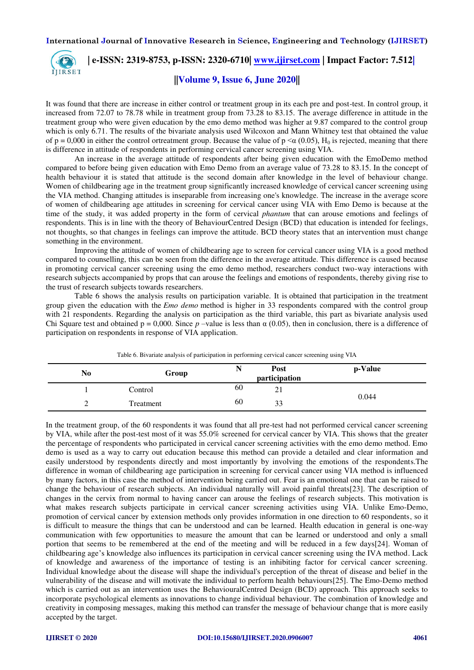

 **| e-ISSN: 2319-8753, p-ISSN: 2320-6710| [www.ijirset.com](http://www.ijirset.com/) | Impact Factor: 7.512|**

**||Volume 9, Issue 6, June 2020||** 

It was found that there are increase in either control or treatment group in its each pre and post-test. In control group, it increased from 72.07 to 78.78 while in treatment group from 73.28 to 83.15. The average difference in attitude in the treatment group who were given education by the emo demo method was higher at 9.87 compared to the control group which is only 6.71. The results of the bivariate analysis used Wilcoxon and Mann Whitney test that obtained the value of  $p = 0.000$  in either the control ortreatment group. Because the value of  $p \leq \alpha (0.05)$ , H<sub>0</sub> is rejected, meaning that there is difference in attitude of respondents in performing cervical cancer screening using VIA.

An increase in the average attitude of respondents after being given education with the EmoDemo method compared to before being given education with Emo Demo from an average value of 73.28 to 83.15. In the concept of health behaviour it is stated that attitude is the second domain after knowledge in the level of behaviour change. Women of childbearing age in the treatment group significantly increased knowledge of cervical cancer screening using the VIA method. Changing attitudes is inseparable from increasing one's knowledge. The increase in the average score of women of childbearing age attitudes in screening for cervical cancer using VIA with Emo Demo is because at the time of the study, it was added property in the form of cervical *phantum* that can arouse emotions and feelings of respondents. This is in line with the theory of BehaviourCentred Design (BCD) that education is intended for feelings, not thoughts, so that changes in feelings can improve the attitude. BCD theory states that an intervention must change something in the environment.

Improving the attitude of women of childbearing age to screen for cervical cancer using VIA is a good method compared to counselling, this can be seen from the difference in the average attitude. This difference is caused because in promoting cervical cancer screening using the emo demo method, researchers conduct two-way interactions with research subjects accompanied by props that can arouse the feelings and emotions of respondents, thereby giving rise to the trust of research subjects towards researchers.

Table 6 shows the analysis results on participation variable. It is obtained that participation in the treatment group given the education with the *Emo demo* method is higher in 33 respondents compared with the control group with 21 respondents. Regarding the analysis on participation as the third variable, this part as bivariate analysis used Chi Square test and obtained  $p = 0.000$ . Since  $p$  –value is less than  $\alpha$  (0.05), then in conclusion, there is a difference of participation on respondents in response of VIA application.

| No | Group     |    | Post<br>participation | p-Value |
|----|-----------|----|-----------------------|---------|
|    | Control   | 60 | 21                    |         |
|    | Treatment | 60 | 33                    | 0.044   |

Table 6. Bivariate analysis of participation in performing cervical cancer screening using VIA

In the treatment group, of the 60 respondents it was found that all pre-test had not performed cervical cancer screening by VIA, while after the post-test most of it was 55.0% screened for cervical cancer by VIA. This shows that the greater the percentage of respondents who participated in cervical cancer screening activities with the emo demo method. Emo demo is used as a way to carry out education because this method can provide a detailed and clear information and easily understood by respondents directly and most importantly by involving the emotions of the respondents.The difference in woman of childbearing age participation in screening for cervical cancer using VIA method is influenced by many factors, in this case the method of intervention being carried out. Fear is an emotional one that can be raised to change the behaviour of research subjects. An individual naturally will avoid painful threats[23]. The description of changes in the cervix from normal to having cancer can arouse the feelings of research subjects. This motivation is what makes research subjects participate in cervical cancer screening activities using VIA. Unlike Emo-Demo, promotion of cervical cancer by extension methods only provides information in one direction to 60 respondents, so it is difficult to measure the things that can be understood and can be learned. Health education in general is one-way communication with few opportunities to measure the amount that can be learned or understood and only a small portion that seems to be remembered at the end of the meeting and will be reduced in a few days[24]. Woman of childbearing age's knowledge also influences its participation in cervical cancer screening using the IVA method. Lack of knowledge and awareness of the importance of testing is an inhibiting factor for cervical cancer screening. Individual knowledge about the disease will shape the individual's perception of the threat of disease and belief in the vulnerability of the disease and will motivate the individual to perform health behaviours[25]. The Emo-Demo method which is carried out as an intervention uses the BehaviouralCentred Design (BCD) approach. This approach seeks to incorporate psychological elements as innovations to change individual behaviour. The combination of knowledge and creativity in composing messages, making this method can transfer the message of behaviour change that is more easily accepted by the target.